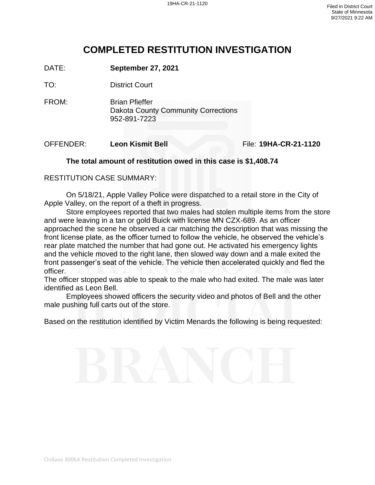# **COMPLETED RESTITUTION INVESTIGATION**

DATE: **September 27, 2021**

TO: District Court

FROM: Brian Pfieffer Dakota County Community Corrections 952-891-7223

OFFENDER: **Leon Kismit Bell** File: **19HA-CR-21-1120**

### **The total amount of restitution owed in this case is \$1,408.74**

### RESTITUTION CASE SUMMARY:

On 5/18/21, Apple Valley Police were dispatched to a retail store in the City of Apple Valley, on the report of a theft in progress.

Store employees reported that two males had stolen multiple items from the store and were leaving in a tan or gold Buick with license MN CZX-689. As an officer approached the scene he observed a car matching the description that was missing the front license plate, as the officer turned to follow the vehicle, he observed the vehicle's rear plate matched the number that had gone out. He activated his emergency lights and the vehicle moved to the right lane, then slowed way down and a male exited the front passenger's seat of the vehicle. The vehicle then accelerated quickly and fled the officer.

The officer stopped was able to speak to the male who had exited. The male was later identified as Leon Bell.

Employees showed officers the security video and photos of Bell and the other male pushing full carts out of the store.

Based on the restitution identified by Victim Menards the following is being requested: